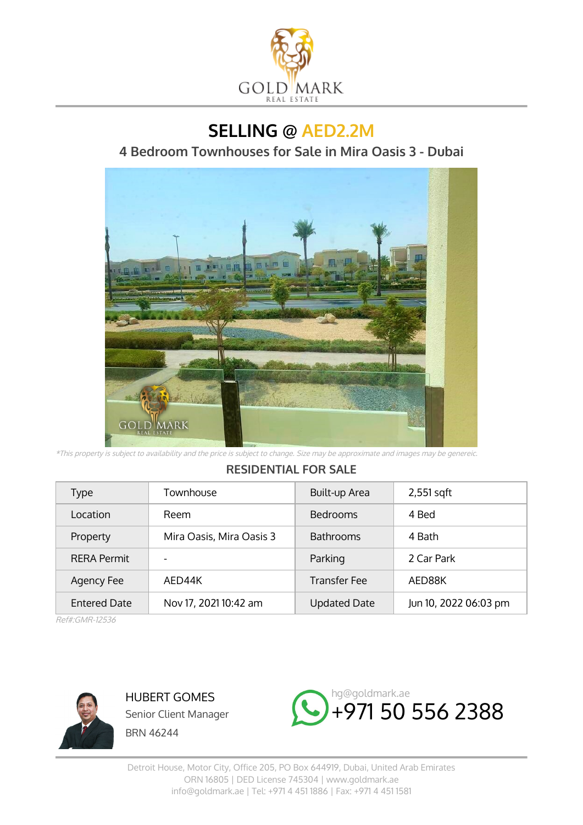

**SELLING @ AED2.2M**

**4 Bedroom Townhouses for Sale in Mira Oasis 3 - Dubai**



\*This property is subject to availability and the price is subject to change. Size may be approximate and images may be genereic.

## **RESIDENTIAL FOR SALE**

| Type                | Townhouse                | Built-up Area       | $2,551$ sqft          |
|---------------------|--------------------------|---------------------|-----------------------|
| Location            | Reem                     | <b>Bedrooms</b>     | 4 Bed                 |
| Property            | Mira Oasis, Mira Oasis 3 | <b>Bathrooms</b>    | 4 Bath                |
| <b>RERA Permit</b>  | $\overline{\phantom{a}}$ | Parking             | 2 Car Park            |
| Agency Fee          | AED44K                   | <b>Transfer Fee</b> | AED88K                |
| <b>Entered Date</b> | Nov 17, 2021 10:42 am    | <b>Updated Date</b> | Jun 10, 2022 06:03 pm |

Ref#:GMR-12536



HUBERT GOMES Senior Client Manager BRN 46244

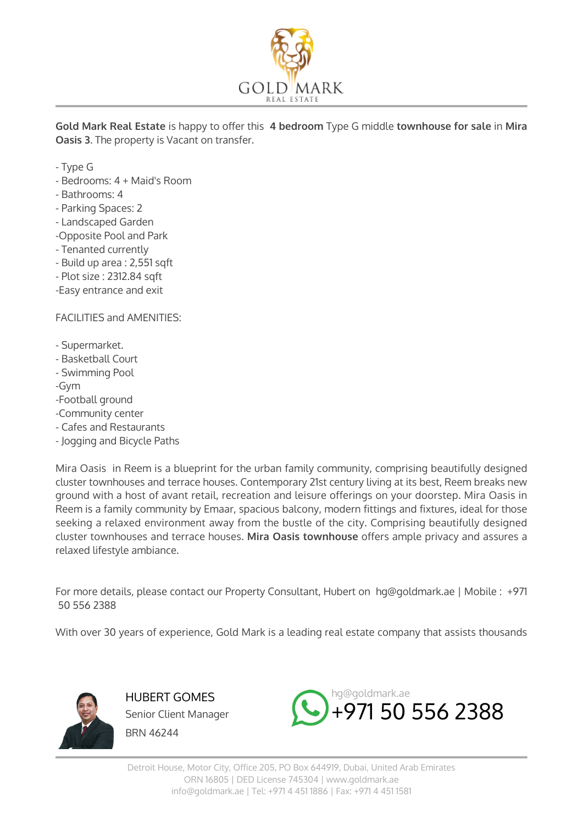

**Gold Mark Real Estate** is happy to offer this **4 bedroom** Type G middle **townhouse for sale** in **Mira Oasis 3**. The property is Vacant on transfer.

- Type G
- Bedrooms: 4 + Maid's Room
- Bathrooms: 4
- Parking Spaces: 2
- Landscaped Garden
- -Opposite Pool and Park
- Tenanted currently
- Build up area : 2,551 sqft
- Plot size : 2312.84 sqft
- -Easy entrance and exit

FACILITIES and AMENITIES:

- Supermarket.
- Basketball Court
- Swimming Pool

-Gym

- -Football ground
- -Community center
- Cafes and Restaurants
- Jogging and Bicycle Paths

Mira Oasis in Reem is a blueprint for the urban family community, comprising beautifully designed cluster townhouses and terrace houses. Contemporary 21st century living at its best, Reem breaks new ground with a host of avant retail, recreation and leisure offerings on your doorstep. Mira Oasis in Reem is a family community by Emaar, spacious balcony, modern fittings and fixtures, ideal for those seeking a relaxed environment away from the bustle of the city. Comprising beautifully designed cluster townhouses and terrace houses. **Mira Oasis townhouse** offers ample privacy and assures a relaxed lifestyle ambiance.

For more details, please contact our Property Consultant, Hubert on hg@goldmark.ae | Mobile : +971 50 556 2388

With over 30 years of experience, Gold Mark is a leading real estate company that assists thousands



HUBERT GOMES Senior Client Manager BRN 46244

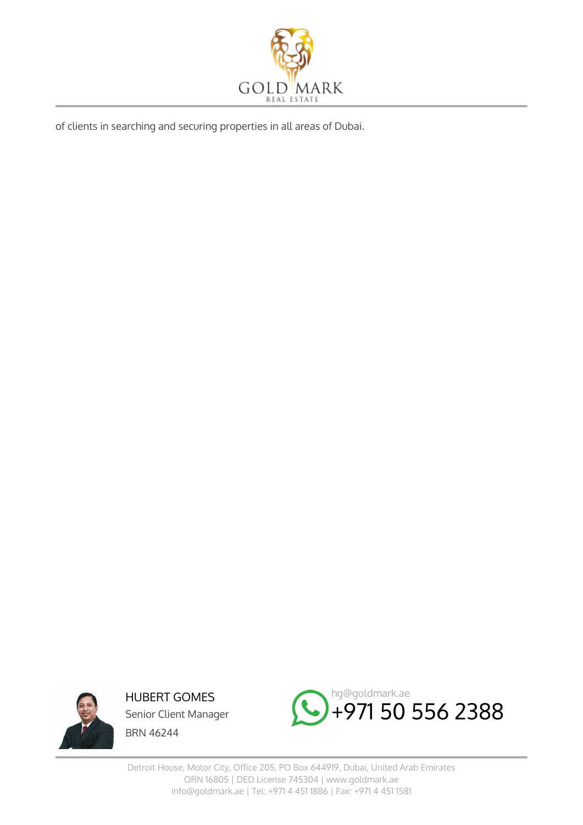

of clients in searching and securing properties in all areas of Dubai.



HUBERT GOMES Senior Client Manager BRN 46244



Detroit House, Motor City, Office 205, PO Box 644919, Dubai, United Arab Emirates ORN 16805 | DED License 745304 | www.goldmark.ae info@goldmark.ae | Tel: +971 4 451 1886 | Fax: +971 4 451 1581